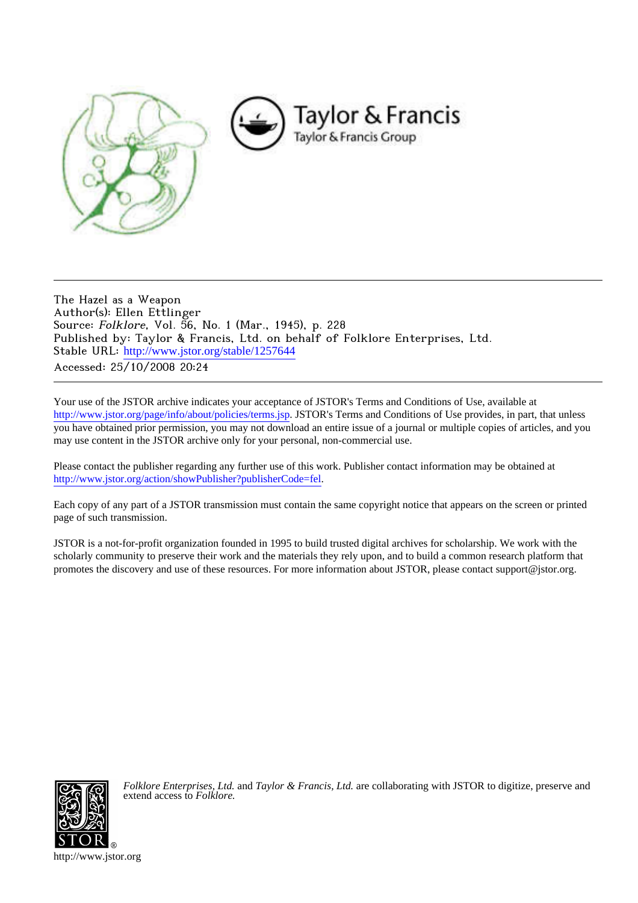

The Hazel as a Weapon Author(s): Ellen Ettlinger Source: Folklore, Vol. 56, No. 1 (Mar., 1945), p. 228 Published by: Taylor & Francis, Ltd. on behalf of Folklore Enterprises, Ltd. Stable URL: [http://www.jstor.org/stable/1257644](http://www.jstor.org/stable/1257644?origin=JSTOR-pdf) Accessed: 25/10/2008 20:24

Your use of the JSTOR archive indicates your acceptance of JSTOR's Terms and Conditions of Use, available at <http://www.jstor.org/page/info/about/policies/terms.jsp>. JSTOR's Terms and Conditions of Use provides, in part, that unless you have obtained prior permission, you may not download an entire issue of a journal or multiple copies of articles, and you may use content in the JSTOR archive only for your personal, non-commercial use.

Please contact the publisher regarding any further use of this work. Publisher contact information may be obtained at [http://www.jstor.org/action/showPublisher?publisherCode=fel.](http://www.jstor.org/action/showPublisher?publisherCode=fel)

Each copy of any part of a JSTOR transmission must contain the same copyright notice that appears on the screen or printed page of such transmission.

JSTOR is a not-for-profit organization founded in 1995 to build trusted digital archives for scholarship. We work with the scholarly community to preserve their work and the materials they rely upon, and to build a common research platform that promotes the discovery and use of these resources. For more information about JSTOR, please contact support@jstor.org.



*Folklore Enterprises, Ltd.* and *Taylor & Francis, Ltd.* are collaborating with JSTOR to digitize, preserve and extend access to *Folklore.*